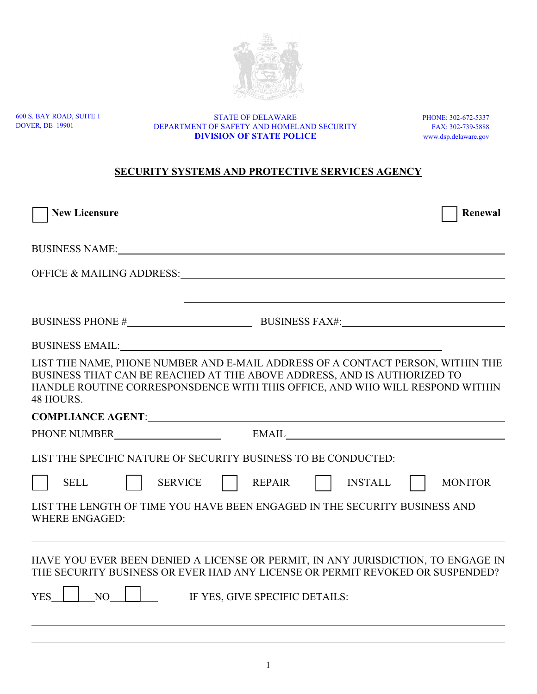600 S. BAY ROAD, SUITE 1 DOVER, DE 19901

STATE OF DELAWARE PHONE: 302-672-5337<br>DF SAFETY AND HOMELAND SECURITY FAX: 302-739-5888 DEPARTMENT OF SAFETY AND HOMELAND SECURITY **DIVISION OF STATE POLICE** [www.dsp.delaware.gov](http://www.dsp.delaware.gov/)

## **SECURITY SYSTEMS AND PROTECTIVE SERVICES AGENCY**

| <b>New Licensure</b>                                                                                                                                                                                                                                   | Renewal        |
|--------------------------------------------------------------------------------------------------------------------------------------------------------------------------------------------------------------------------------------------------------|----------------|
| BUSINESS NAME: NAME:                                                                                                                                                                                                                                   |                |
|                                                                                                                                                                                                                                                        |                |
|                                                                                                                                                                                                                                                        |                |
|                                                                                                                                                                                                                                                        |                |
| <b>BUSINESS EMAIL:</b> The state of the state of the state of the state of the state of the state of the state of the state of the state of the state of the state of the state of the state of the state of the state of the state                    |                |
| LIST THE NAME, PHONE NUMBER AND E-MAIL ADDRESS OF A CONTACT PERSON, WITHIN THE<br>BUSINESS THAT CAN BE REACHED AT THE ABOVE ADDRESS, AND IS AUTHORIZED TO<br>HANDLE ROUTINE CORRESPONSDENCE WITH THIS OFFICE, AND WHO WILL RESPOND WITHIN<br>48 HOURS. |                |
|                                                                                                                                                                                                                                                        |                |
|                                                                                                                                                                                                                                                        |                |
| LIST THE SPECIFIC NATURE OF SECURITY BUSINESS TO BE CONDUCTED:                                                                                                                                                                                         |                |
| <b>SELL</b><br><b>SERVICE</b><br>REPAIR<br><b>INSTALL</b>                                                                                                                                                                                              | <b>MONITOR</b> |
| LIST THE LENGTH OF TIME YOU HAVE BEEN ENGAGED IN THE SECURITY BUSINESS AND<br><b>WHERE ENGAGED:</b>                                                                                                                                                    |                |
| HAVE YOU EVER BEEN DENIED A LICENSE OR PERMIT, IN ANY JURISDICTION, TO ENGAGE IN<br>THE SECURITY BUSINESS OR EVER HAD ANY LICENSE OR PERMIT REVOKED OR SUSPENDED?                                                                                      |                |
| <b>YES</b><br>NO <sub>1</sub><br>IF YES, GIVE SPECIFIC DETAILS:                                                                                                                                                                                        |                |
|                                                                                                                                                                                                                                                        |                |

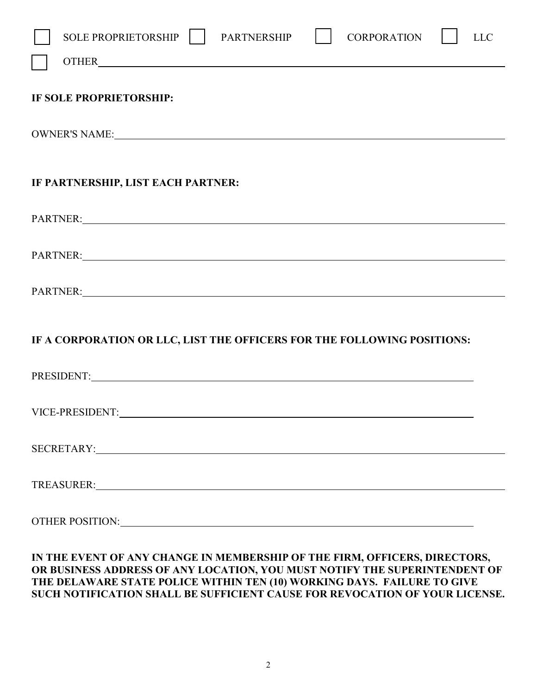| SOLE PROPRIETORSHIP    <br><b>CORPORATION</b><br><b>PARTNERSHIP</b><br><b>LLC</b><br>OTHER <b>Example 2008</b> The contract of the contract of the contract of the contract of the contract of the contract of the contract of the contract of the contract of the contract of the contract of the contract of the contr |
|--------------------------------------------------------------------------------------------------------------------------------------------------------------------------------------------------------------------------------------------------------------------------------------------------------------------------|
| IF SOLE PROPRIETORSHIP:                                                                                                                                                                                                                                                                                                  |
|                                                                                                                                                                                                                                                                                                                          |
| IF PARTNERSHIP, LIST EACH PARTNER:                                                                                                                                                                                                                                                                                       |
| PARTNER: New York Changes and Changes and Changes and Changes and Changes and Changes and Changes and Changes and Changes and Changes and Changes and Changes and Changes and Changes and Changes and Changes and Changes and                                                                                            |
| PARTNER: New York Contract the Contract of the Contract of the Contract of the Contract of the Contract of the Contract of the Contract of the Contract of the Contract of the Contract of the Contract of the Contract of the                                                                                           |
| PARTNER: New York Contract the Contract of the Contract of the Contract of the Contract of the Contract of the Contract of the Contract of the Contract of the Contract of the Contract of the Contract of the Contract of the                                                                                           |
| IF A CORPORATION OR LLC, LIST THE OFFICERS FOR THE FOLLOWING POSITIONS:                                                                                                                                                                                                                                                  |
| PRESIDENT: NATIONAL PRESIDENT:                                                                                                                                                                                                                                                                                           |
|                                                                                                                                                                                                                                                                                                                          |
|                                                                                                                                                                                                                                                                                                                          |
|                                                                                                                                                                                                                                                                                                                          |
| OTHER POSITION: University of the contract of the contract of the contract of the contract of the contract of the contract of the contract of the contract of the contract of the contract of the contract of the contract of                                                                                            |

## **IN THE EVENT OF ANY CHANGE IN MEMBERSHIP OF THE FIRM, OFFICERS, DIRECTORS, OR BUSINESS ADDRESS OF ANY LOCATION, YOU MUST NOTIFY THE SUPERINTENDENT OF THE DELAWARE STATE POLICE WITHIN TEN (10) WORKING DAYS. FAILURE TO GIVE SUCH NOTIFICATION SHALL BE SUFFICIENT CAUSE FOR REVOCATION OF YOUR LICENSE.**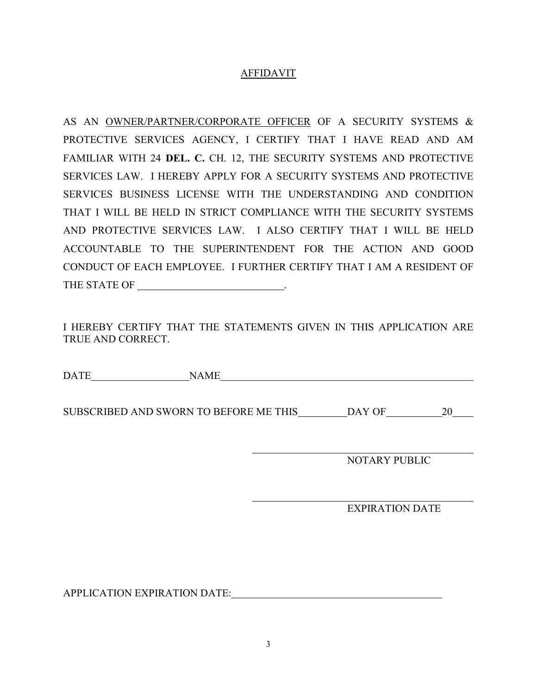## AFFIDAVIT

AS AN OWNER/PARTNER/CORPORATE OFFICER OF A SECURITY SYSTEMS & PROTECTIVE SERVICES AGENCY, I CERTIFY THAT I HAVE READ AND AM FAMILIAR WITH 24 **DEL. C.** CH. 12, THE SECURITY SYSTEMS AND PROTECTIVE SERVICES LAW. I HEREBY APPLY FOR A SECURITY SYSTEMS AND PROTECTIVE SERVICES BUSINESS LICENSE WITH THE UNDERSTANDING AND CONDITION THAT I WILL BE HELD IN STRICT COMPLIANCE WITH THE SECURITY SYSTEMS AND PROTECTIVE SERVICES LAW. I ALSO CERTIFY THAT I WILL BE HELD ACCOUNTABLE TO THE SUPERINTENDENT FOR THE ACTION AND GOOD CONDUCT OF EACH EMPLOYEE. I FURTHER CERTIFY THAT I AM A RESIDENT OF THE STATE OF \_\_\_\_\_\_\_\_\_\_\_\_\_\_\_\_\_\_\_\_\_\_\_\_\_\_\_\_\_.

I HEREBY CERTIFY THAT THE STATEMENTS GIVEN IN THIS APPLICATION ARE TRUE AND CORRECT.

DATE NAME

SUBSCRIBED AND SWORN TO BEFORE ME THIS \_\_\_\_\_\_\_\_ DAY OF \_\_\_\_\_\_\_\_\_\_\_\_\_\_\_\_\_\_\_\_\_\_\_\_\_\_

NOTARY PUBLIC

EXPIRATION DATE

APPLICATION EXPIRATION DATE: